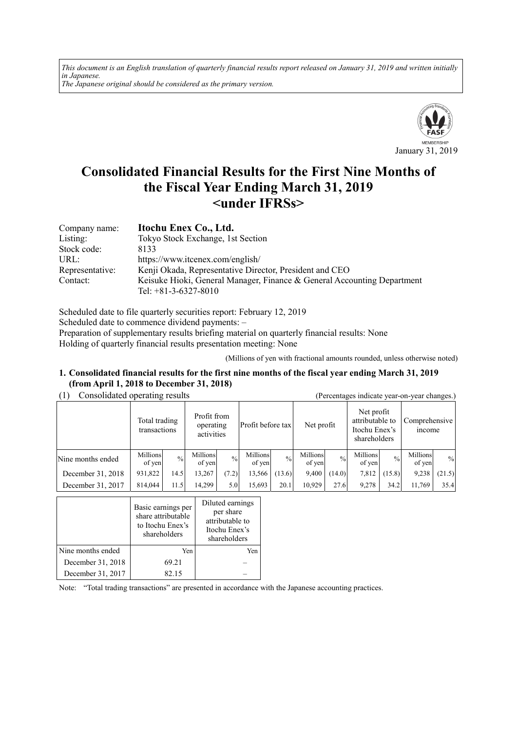*This document is an English translation of quarterly financial results report released on January 31, 2019 and written initially in Japanese. The Japanese original should be considered as the primary version.*



# **Consolidated Financial Results for the First Nine Months of the Fiscal Year Ending March 31, 2019 <under IFRSs>**

| Company name:   | Itochu Enex Co., Ltd.                                                   |
|-----------------|-------------------------------------------------------------------------|
| Listing:        | Tokyo Stock Exchange, 1st Section                                       |
| Stock code:     | 8133                                                                    |
| URL:            | https://www.itcenex.com/english/                                        |
| Representative: | Kenji Okada, Representative Director, President and CEO                 |
| Contact:        | Keisuke Hioki, General Manager, Finance & General Accounting Department |
|                 | Tel: $+81-3-6327-8010$                                                  |

Scheduled date to file quarterly securities report: February 12, 2019 Scheduled date to commence dividend payments: – Preparation of supplementary results briefing material on quarterly financial results: None Holding of quarterly financial results presentation meeting: None

(Millions of yen with fractional amounts rounded, unless otherwise noted)

### **1. Consolidated financial results for the first nine months of the fiscal year ending March 31, 2019 (from April 1, 2018 to December 31, 2018)**

| Consolidated operating results |                               |               |                    |                                        |                    | (Percentages indicate year-on-year changes.) |                    |               |                    |                                                                |                    |                                |  |
|--------------------------------|-------------------------------|---------------|--------------------|----------------------------------------|--------------------|----------------------------------------------|--------------------|---------------|--------------------|----------------------------------------------------------------|--------------------|--------------------------------|--|
|                                | Total trading<br>transactions |               |                    | Profit from<br>operating<br>activities |                    | Profit before tax                            |                    | Net profit    |                    | Net profit<br>attributable to<br>Itochu Enex's<br>shareholders |                    | Comprehensive<br><i>n</i> come |  |
| Nine months ended              | Millions<br>of yen            | $\frac{0}{0}$ | Millions<br>of yen | $\frac{0}{0}$                          | Millions<br>of yen | $\frac{0}{0}$                                | Millions<br>of yen | $\frac{0}{0}$ | Millions<br>of yen | $^{0}/_{0}$                                                    | Millions<br>of yen | $\%$                           |  |
| December 31, 2018              | 931,822                       | 14.5          | 13,267             | (7.2)                                  | 13,566             | (13.6)                                       | 9,400              | (14.0)        | 7,812              | (15.8)                                                         | 9,238              | (21.5)                         |  |
| December 31, 2017              | 814,044                       | 11.5          | 14,299             | 5.0                                    | 15,693             | 20.1                                         | 10,929             | 27.6          | 9,278              | 34.2                                                           | 11,769             | 35.4                           |  |

|                   | Basic earnings per<br>share attributable<br>to Itochu Enex's<br>shareholders | Diluted earnings<br>per share<br>attributable to<br>Itochu Enex's<br>shareholders |
|-------------------|------------------------------------------------------------------------------|-----------------------------------------------------------------------------------|
| Nine months ended | Yen                                                                          | Yen                                                                               |
| December 31, 2018 | 69.21                                                                        |                                                                                   |
| December 31, 2017 | 82.15                                                                        |                                                                                   |

Note: "Total trading transactions" are presented in accordance with the Japanese accounting practices.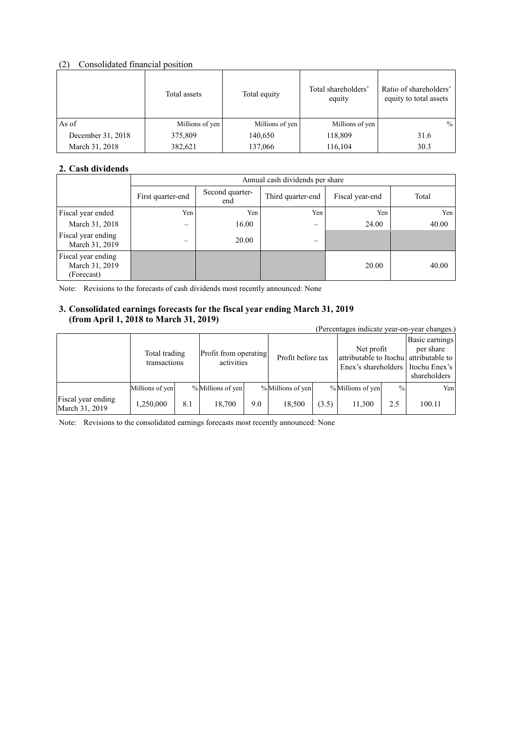# (2) Consolidated financial position

|                   | Total assets    | Total equity    | Total shareholders'<br>equity | Ratio of shareholders'<br>equity to total assets |
|-------------------|-----------------|-----------------|-------------------------------|--------------------------------------------------|
| As of             | Millions of yen | Millions of yen | Millions of yen               | $\%$                                             |
| December 31, 2018 | 375,809         | 140,650         | 118,809                       | 31.6                                             |
| March 31, 2018    | 382,621         | 137,066         | 116,104                       | 30.3                                             |

# **2. Cash dividends**

|                                                    |                   | Annual cash dividends per share |                          |                 |       |  |  |
|----------------------------------------------------|-------------------|---------------------------------|--------------------------|-----------------|-------|--|--|
|                                                    | First quarter-end | Second quarter-<br>end          | Third quarter-end        | Fiscal year-end | Total |  |  |
| Fiscal year ended                                  | Yen               | Yen                             | Yen                      | Yen             | Yen   |  |  |
| March 31, 2018                                     | —                 | 16.00                           | $\overline{\phantom{m}}$ | 24.00           | 40.00 |  |  |
| Fiscal year ending<br>March 31, 2019               | $\equiv$          | 20.00                           |                          |                 |       |  |  |
| Fiscal year ending<br>March 31, 2019<br>(Forecast) |                   |                                 |                          | 20.00           | 40.00 |  |  |

Note: Revisions to the forecasts of cash dividends most recently announced: None

# **3. Consolidated earnings forecasts for the fiscal year ending March 31, 2019 (from April 1, 2018 to March 31, 2019)**

| $11 \text{ cm}$ $1 \text{ s}$ $\mu$ $\text{m}$ $1 \text{ s}$ $\mu$ $\text{m}$ $\text{m}$ $\text{m}$ $\text{m}$ $\text{m}$ $\text{m}$ $\text{m}$ $\text{m}$ $\text{m}$ |                               |     |                                     |     |                   |       | (Percentages indicate year-on-year changes.)                                |               |                                                              |  |
|-----------------------------------------------------------------------------------------------------------------------------------------------------------------------|-------------------------------|-----|-------------------------------------|-----|-------------------|-------|-----------------------------------------------------------------------------|---------------|--------------------------------------------------------------|--|
|                                                                                                                                                                       | Total trading<br>transactions |     | Profit from operating<br>activities |     | Profit before tax |       | Net profit<br>attributable to Itochu attributable to<br>Enex's shareholders |               | Basic earnings<br>per share<br>Itochu Enex's<br>shareholders |  |
|                                                                                                                                                                       | Millions of yen               |     | % Millions of yen                   |     | % Millions of yen |       | % Millions of yen                                                           | $\frac{0}{0}$ | Yen                                                          |  |
| Fiscal year ending<br>March 31, 2019                                                                                                                                  | 1,250,000                     | 8.1 | 18,700                              | 9.0 | 18,500            | (3.5) | 11,300                                                                      | 2.5           | 100.11                                                       |  |

Note: Revisions to the consolidated earnings forecasts most recently announced: None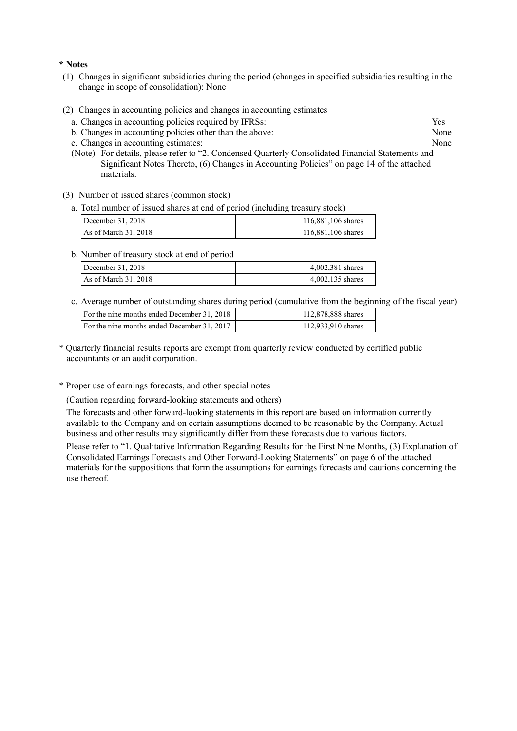#### **\* Notes**

- (1) Changes in significant subsidiaries during the period (changes in specified subsidiaries resulting in the change in scope of consolidation): None
- (2) Changes in accounting policies and changes in accounting estimates
	- a. Changes in accounting policies required by IFRSs: Yes
	- b. Changes in accounting policies other than the above: None
	- c. Changes in accounting estimates: None
	- (Note) For details, please refer to "2. Condensed Quarterly Consolidated Financial Statements and Significant Notes Thereto, (6) Changes in Accounting Policies" on page 14 of the attached materials.
- (3) Number of issued shares (common stock)
	- a. Total number of issued shares at end of period (including treasury stock)

| December 31, 2018    | 116,881,106 shares |
|----------------------|--------------------|
| As of March 31, 2018 | 116,881,106 shares |

b. Number of treasury stock at end of period

| December 31, 2018      | 4,002,381 shares |  |  |  |
|------------------------|------------------|--|--|--|
| As of March $31, 2018$ | 4,002,135 shares |  |  |  |

c. Average number of outstanding shares during period (cumulative from the beginning of the fiscal year)

| For the nine months ended December 31, 2018 | 112,878,888 shares |
|---------------------------------------------|--------------------|
| For the nine months ended December 31, 2017 | 112,933,910 shares |
|                                             |                    |

- \* Quarterly financial results reports are exempt from quarterly review conducted by certified public accountants or an audit corporation.
- \* Proper use of earnings forecasts, and other special notes

(Caution regarding forward-looking statements and others)

The forecasts and other forward-looking statements in this report are based on information currently available to the Company and on certain assumptions deemed to be reasonable by the Company. Actual business and other results may significantly differ from these forecasts due to various factors.

Please refer to "1. Qualitative Information Regarding Results for the First Nine Months, (3) Explanation of Consolidated Earnings Forecasts and Other Forward-Looking Statements" on page 6 of the attached materials for the suppositions that form the assumptions for earnings forecasts and cautions concerning the use thereof.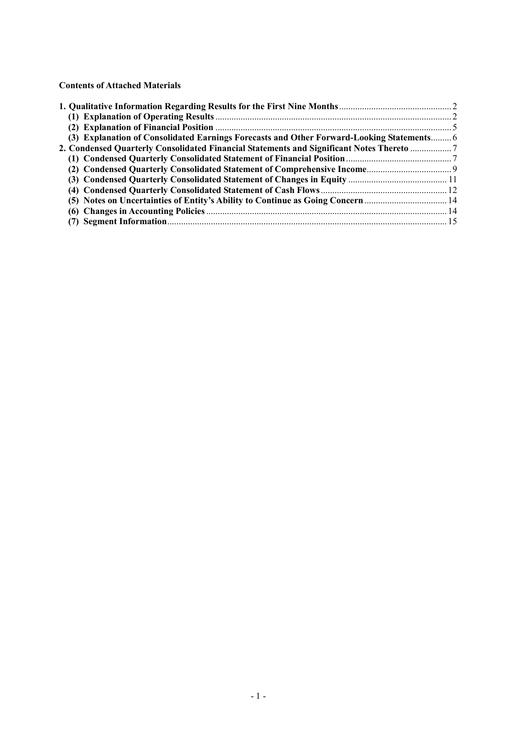**Contents of Attached Materials** 

| (3) Explanation of Consolidated Earnings Forecasts and Other Forward-Looking Statements 6 |  |
|-------------------------------------------------------------------------------------------|--|
| 2. Condensed Quarterly Consolidated Financial Statements and Significant Notes Thereto    |  |
|                                                                                           |  |
|                                                                                           |  |
|                                                                                           |  |
|                                                                                           |  |
| (5) Notes on Uncertainties of Entity's Ability to Continue as Going Concern 14            |  |
|                                                                                           |  |
|                                                                                           |  |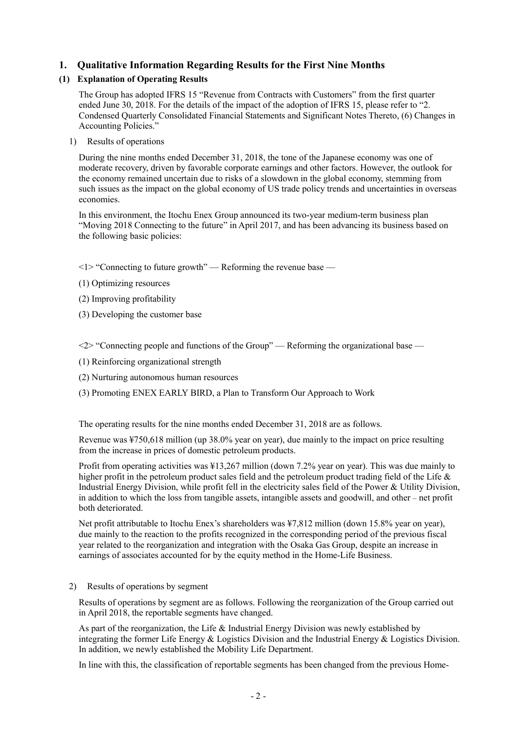# **1. Qualitative Information Regarding Results for the First Nine Months**

# **(1) Explanation of Operating Results**

The Group has adopted IFRS 15 "Revenue from Contracts with Customers" from the first quarter ended June 30, 2018. For the details of the impact of the adoption of IFRS 15, please refer to "2. Condensed Quarterly Consolidated Financial Statements and Significant Notes Thereto, (6) Changes in Accounting Policies."

1) Results of operations

During the nine months ended December 31, 2018, the tone of the Japanese economy was one of moderate recovery, driven by favorable corporate earnings and other factors. However, the outlook for the economy remained uncertain due to risks of a slowdown in the global economy, stemming from such issues as the impact on the global economy of US trade policy trends and uncertainties in overseas economies.

In this environment, the Itochu Enex Group announced its two-year medium-term business plan "Moving 2018 Connecting to the future" in April 2017, and has been advancing its business based on the following basic policies:

 $\leq$  1> "Connecting to future growth" — Reforming the revenue base —

- (1) Optimizing resources
- (2) Improving profitability
- (3) Developing the customer base

<2> "Connecting people and functions of the Group" — Reforming the organizational base —

- (1) Reinforcing organizational strength
- (2) Nurturing autonomous human resources
- (3) Promoting ENEX EARLY BIRD, a Plan to Transform Our Approach to Work

The operating results for the nine months ended December 31, 2018 are as follows.

Revenue was ¥750,618 million (up 38.0% year on year), due mainly to the impact on price resulting from the increase in prices of domestic petroleum products.

Profit from operating activities was ¥13,267 million (down 7.2% year on year). This was due mainly to higher profit in the petroleum product sales field and the petroleum product trading field of the Life & Industrial Energy Division, while profit fell in the electricity sales field of the Power & Utility Division, in addition to which the loss from tangible assets, intangible assets and goodwill, and other – net profit both deteriorated.

Net profit attributable to Itochu Enex's shareholders was ¥7,812 million (down 15.8% year on year), due mainly to the reaction to the profits recognized in the corresponding period of the previous fiscal year related to the reorganization and integration with the Osaka Gas Group, despite an increase in earnings of associates accounted for by the equity method in the Home-Life Business.

2) Results of operations by segment

Results of operations by segment are as follows. Following the reorganization of the Group carried out in April 2018, the reportable segments have changed.

As part of the reorganization, the Life & Industrial Energy Division was newly established by integrating the former Life Energy & Logistics Division and the Industrial Energy & Logistics Division. In addition, we newly established the Mobility Life Department.

In line with this, the classification of reportable segments has been changed from the previous Home-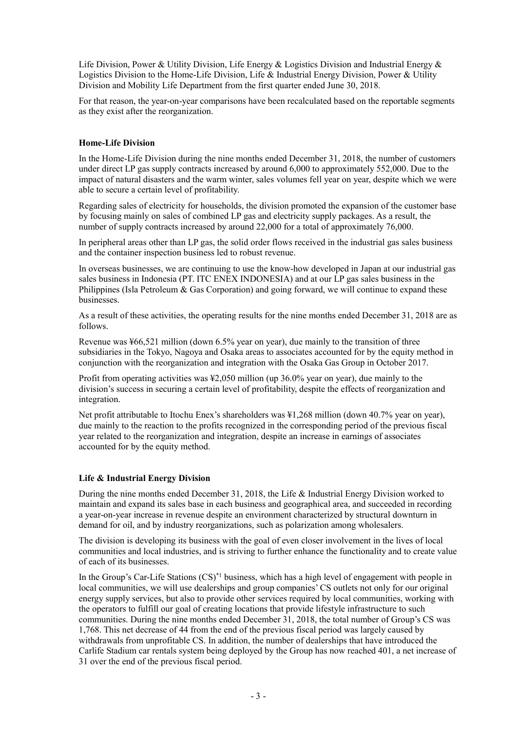Life Division, Power & Utility Division, Life Energy & Logistics Division and Industrial Energy & Logistics Division to the Home-Life Division, Life & Industrial Energy Division, Power & Utility Division and Mobility Life Department from the first quarter ended June 30, 2018.

For that reason, the year-on-year comparisons have been recalculated based on the reportable segments as they exist after the reorganization.

#### **Home-Life Division**

In the Home-Life Division during the nine months ended December 31, 2018, the number of customers under direct LP gas supply contracts increased by around 6,000 to approximately 552,000. Due to the impact of natural disasters and the warm winter, sales volumes fell year on year, despite which we were able to secure a certain level of profitability.

Regarding sales of electricity for households, the division promoted the expansion of the customer base by focusing mainly on sales of combined LP gas and electricity supply packages. As a result, the number of supply contracts increased by around 22,000 for a total of approximately 76,000.

In peripheral areas other than LP gas, the solid order flows received in the industrial gas sales business and the container inspection business led to robust revenue.

In overseas businesses, we are continuing to use the know-how developed in Japan at our industrial gas sales business in Indonesia (PT. ITC ENEX INDONESIA) and at our LP gas sales business in the Philippines (Isla Petroleum  $\&$  Gas Corporation) and going forward, we will continue to expand these businesses.

As a result of these activities, the operating results for the nine months ended December 31, 2018 are as follows.

Revenue was ¥66,521 million (down 6.5% year on year), due mainly to the transition of three subsidiaries in the Tokyo, Nagoya and Osaka areas to associates accounted for by the equity method in conjunction with the reorganization and integration with the Osaka Gas Group in October 2017.

Profit from operating activities was ¥2,050 million (up 36.0% year on year), due mainly to the division's success in securing a certain level of profitability, despite the effects of reorganization and integration.

Net profit attributable to Itochu Enex's shareholders was ¥1,268 million (down 40.7% year on year), due mainly to the reaction to the profits recognized in the corresponding period of the previous fiscal year related to the reorganization and integration, despite an increase in earnings of associates accounted for by the equity method.

### **Life & Industrial Energy Division**

During the nine months ended December 31, 2018, the Life & Industrial Energy Division worked to maintain and expand its sales base in each business and geographical area, and succeeded in recording a year-on-year increase in revenue despite an environment characterized by structural downturn in demand for oil, and by industry reorganizations, such as polarization among wholesalers.

The division is developing its business with the goal of even closer involvement in the lives of local communities and local industries, and is striving to further enhance the functionality and to create value of each of its businesses.

In the Group's Car-Life Stations  $(CS)^*$ <sup>1</sup> business, which has a high level of engagement with people in local communities, we will use dealerships and group companies' CS outlets not only for our original energy supply services, but also to provide other services required by local communities, working with the operators to fulfill our goal of creating locations that provide lifestyle infrastructure to such communities. During the nine months ended December 31, 2018, the total number of Group's CS was 1,768. This net decrease of 44 from the end of the previous fiscal period was largely caused by withdrawals from unprofitable CS. In addition, the number of dealerships that have introduced the Carlife Stadium car rentals system being deployed by the Group has now reached 401, a net increase of 31 over the end of the previous fiscal period.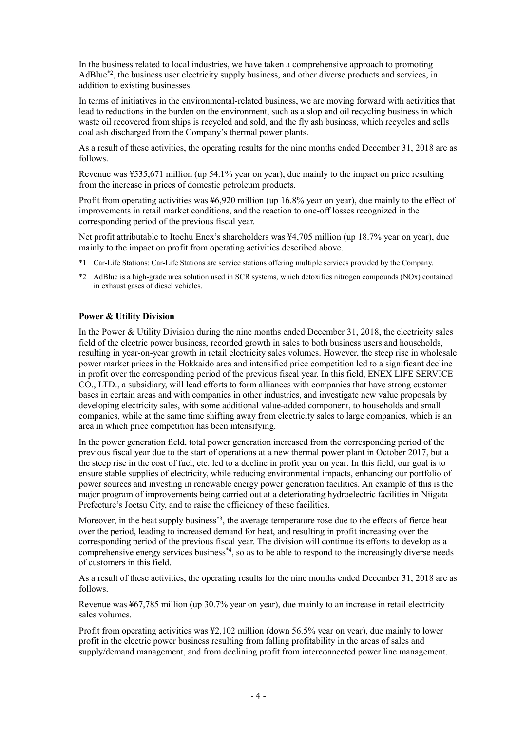In the business related to local industries, we have taken a comprehensive approach to promoting AdBlue\*2, the business user electricity supply business, and other diverse products and services, in addition to existing businesses.

In terms of initiatives in the environmental-related business, we are moving forward with activities that lead to reductions in the burden on the environment, such as a slop and oil recycling business in which waste oil recovered from ships is recycled and sold, and the fly ash business, which recycles and sells coal ash discharged from the Company's thermal power plants.

As a result of these activities, the operating results for the nine months ended December 31, 2018 are as follows.

Revenue was ¥535,671 million (up 54.1% year on year), due mainly to the impact on price resulting from the increase in prices of domestic petroleum products.

Profit from operating activities was ¥6,920 million (up 16.8% year on year), due mainly to the effect of improvements in retail market conditions, and the reaction to one-off losses recognized in the corresponding period of the previous fiscal year.

Net profit attributable to Itochu Enex's shareholders was ¥4,705 million (up 18.7% year on year), due mainly to the impact on profit from operating activities described above.

- \*1 Car-Life Stations: Car-Life Stations are service stations offering multiple services provided by the Company.
- \*2 AdBlue is a high-grade urea solution used in SCR systems, which detoxifies nitrogen compounds (NOx) contained in exhaust gases of diesel vehicles.

#### **Power & Utility Division**

In the Power & Utility Division during the nine months ended December 31, 2018, the electricity sales field of the electric power business, recorded growth in sales to both business users and households, resulting in year-on-year growth in retail electricity sales volumes. However, the steep rise in wholesale power market prices in the Hokkaido area and intensified price competition led to a significant decline in profit over the corresponding period of the previous fiscal year. In this field, ENEX LIFE SERVICE CO., LTD., a subsidiary, will lead efforts to form alliances with companies that have strong customer bases in certain areas and with companies in other industries, and investigate new value proposals by developing electricity sales, with some additional value-added component, to households and small companies, while at the same time shifting away from electricity sales to large companies, which is an area in which price competition has been intensifying.

In the power generation field, total power generation increased from the corresponding period of the previous fiscal year due to the start of operations at a new thermal power plant in October 2017, but a the steep rise in the cost of fuel, etc. led to a decline in profit year on year. In this field, our goal is to ensure stable supplies of electricity, while reducing environmental impacts, enhancing our portfolio of power sources and investing in renewable energy power generation facilities. An example of this is the major program of improvements being carried out at a deteriorating hydroelectric facilities in Niigata Prefecture's Joetsu City, and to raise the efficiency of these facilities.

Moreover, in the heat supply business<sup>\*3</sup>, the average temperature rose due to the effects of fierce heat over the period, leading to increased demand for heat, and resulting in profit increasing over the corresponding period of the previous fiscal year. The division will continue its efforts to develop as a comprehensive energy services business\*4, so as to be able to respond to the increasingly diverse needs of customers in this field.

As a result of these activities, the operating results for the nine months ended December 31, 2018 are as follows.

Revenue was ¥67,785 million (up 30.7% year on year), due mainly to an increase in retail electricity sales volumes.

Profit from operating activities was ¥2,102 million (down 56.5% year on year), due mainly to lower profit in the electric power business resulting from falling profitability in the areas of sales and supply/demand management, and from declining profit from interconnected power line management.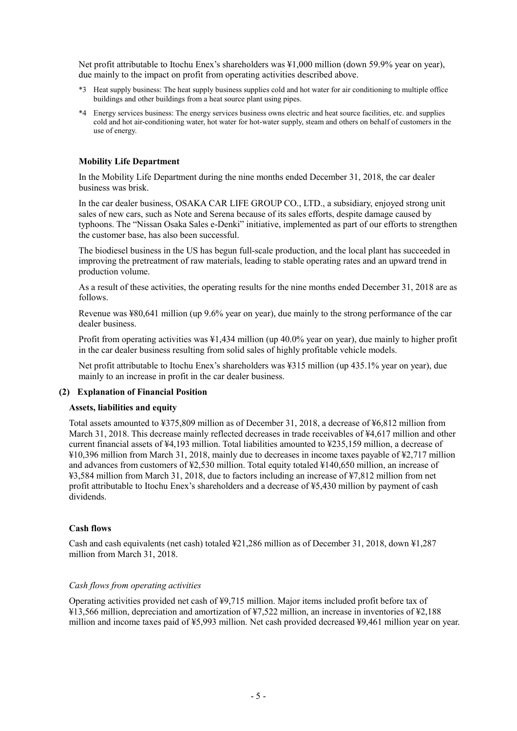Net profit attributable to Itochu Enex's shareholders was ¥1,000 million (down 59.9% year on year), due mainly to the impact on profit from operating activities described above.

- \*3 Heat supply business: The heat supply business supplies cold and hot water for air conditioning to multiple office buildings and other buildings from a heat source plant using pipes.
- \*4 Energy services business: The energy services business owns electric and heat source facilities, etc. and supplies cold and hot air-conditioning water, hot water for hot-water supply, steam and others on behalf of customers in the use of energy.

#### **Mobility Life Department**

In the Mobility Life Department during the nine months ended December 31, 2018, the car dealer business was brisk.

In the car dealer business, OSAKA CAR LIFE GROUP CO., LTD., a subsidiary, enjoyed strong unit sales of new cars, such as Note and Serena because of its sales efforts, despite damage caused by typhoons. The "Nissan Osaka Sales e-Denki" initiative, implemented as part of our efforts to strengthen the customer base, has also been successful.

The biodiesel business in the US has begun full-scale production, and the local plant has succeeded in improving the pretreatment of raw materials, leading to stable operating rates and an upward trend in production volume.

As a result of these activities, the operating results for the nine months ended December 31, 2018 are as follows.

Revenue was ¥80,641 million (up 9.6% year on year), due mainly to the strong performance of the car dealer business.

Profit from operating activities was ¥1,434 million (up 40.0% year on year), due mainly to higher profit in the car dealer business resulting from solid sales of highly profitable vehicle models.

Net profit attributable to Itochu Enex's shareholders was ¥315 million (up 435.1% year on year), due mainly to an increase in profit in the car dealer business.

#### **(2) Explanation of Financial Position**

#### **Assets, liabilities and equity**

Total assets amounted to ¥375,809 million as of December 31, 2018, a decrease of ¥6,812 million from March 31, 2018. This decrease mainly reflected decreases in trade receivables of ¥4,617 million and other current financial assets of ¥4,193 million. Total liabilities amounted to ¥235,159 million, a decrease of ¥10,396 million from March 31, 2018, mainly due to decreases in income taxes payable of ¥2,717 million and advances from customers of ¥2,530 million. Total equity totaled ¥140,650 million, an increase of ¥3,584 million from March 31, 2018, due to factors including an increase of ¥7,812 million from net profit attributable to Itochu Enex's shareholders and a decrease of ¥5,430 million by payment of cash dividends.

#### **Cash flows**

Cash and cash equivalents (net cash) totaled ¥21,286 million as of December 31, 2018, down ¥1,287 million from March 31, 2018.

#### *Cash flows from operating activities*

Operating activities provided net cash of ¥9,715 million. Major items included profit before tax of ¥13,566 million, depreciation and amortization of ¥7,522 million, an increase in inventories of ¥2,188 million and income taxes paid of ¥5,993 million. Net cash provided decreased ¥9,461 million year on year.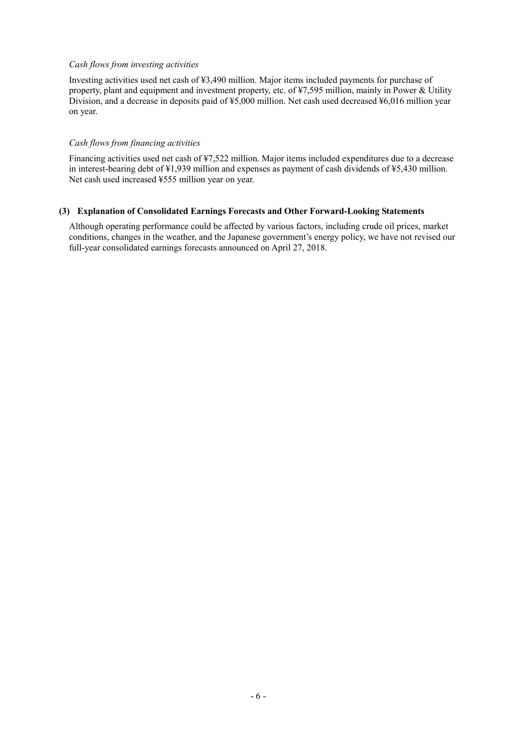## *Cash flows from investing activities*

Investing activities used net cash of ¥3,490 million. Major items included payments for purchase of property, plant and equipment and investment property, etc. of ¥7,595 million, mainly in Power & Utility Division, and a decrease in deposits paid of ¥5,000 million. Net cash used decreased ¥6,016 million year on year.

#### *Cash flows from financing activities*

Financing activities used net cash of ¥7,522 million. Major items included expenditures due to a decrease in interest-bearing debt of ¥1,939 million and expenses as payment of cash dividends of ¥5,430 million. Net cash used increased ¥555 million year on year.

### **(3) Explanation of Consolidated Earnings Forecasts and Other Forward-Looking Statements**

Although operating performance could be affected by various factors, including crude oil prices, market conditions, changes in the weather, and the Japanese government's energy policy, we have not revised our full-year consolidated earnings forecasts announced on April 27, 2018.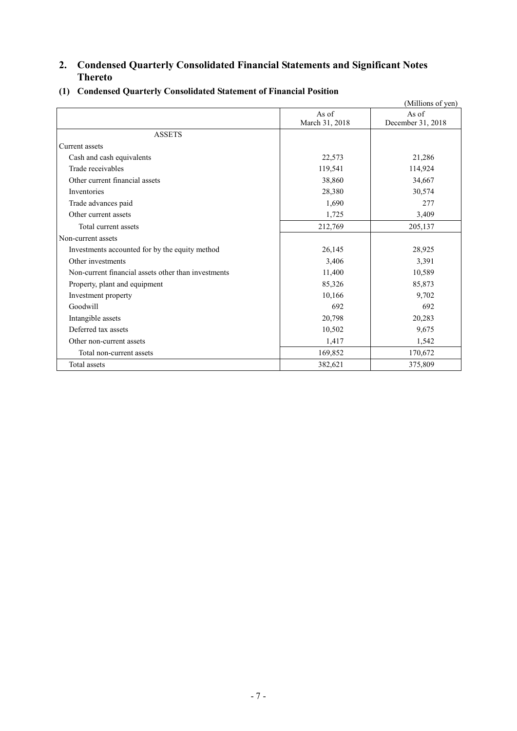# **2. Condensed Quarterly Consolidated Financial Statements and Significant Notes Thereto**

|                                                     |                | (Millions of yen) |
|-----------------------------------------------------|----------------|-------------------|
|                                                     | As of          | As of             |
|                                                     | March 31, 2018 | December 31, 2018 |
| <b>ASSETS</b>                                       |                |                   |
| Current assets                                      |                |                   |
| Cash and cash equivalents                           | 22,573         | 21,286            |
| Trade receivables                                   | 119,541        | 114,924           |
| Other current financial assets                      | 38,860         | 34,667            |
| Inventories                                         | 28,380         | 30,574            |
| Trade advances paid                                 | 1,690          | 277               |
| Other current assets                                | 1,725          | 3,409             |
| Total current assets                                | 212,769        | 205,137           |
| Non-current assets                                  |                |                   |
| Investments accounted for by the equity method      | 26,145         | 28,925            |
| Other investments                                   | 3,406          | 3,391             |
| Non-current financial assets other than investments | 11,400         | 10,589            |
| Property, plant and equipment                       | 85,326         | 85,873            |
| Investment property                                 | 10,166         | 9,702             |
| Goodwill                                            | 692            | 692               |
| Intangible assets                                   | 20,798         | 20,283            |
| Deferred tax assets                                 | 10,502         | 9,675             |
| Other non-current assets                            | 1,417          | 1,542             |
| Total non-current assets                            | 169,852        | 170,672           |
| Total assets                                        | 382,621        | 375,809           |

# **(1) Condensed Quarterly Consolidated Statement of Financial Position**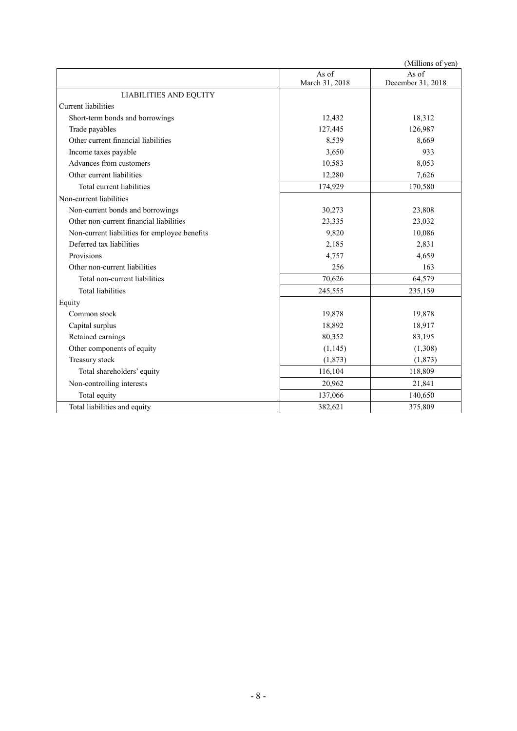|                                               |                         | (Millions of yen)          |
|-----------------------------------------------|-------------------------|----------------------------|
|                                               | As of<br>March 31, 2018 | As of<br>December 31, 2018 |
| <b>LIABILITIES AND EQUITY</b>                 |                         |                            |
| Current liabilities                           |                         |                            |
| Short-term bonds and borrowings               | 12,432                  | 18,312                     |
| Trade payables                                | 127,445                 | 126,987                    |
| Other current financial liabilities           | 8,539                   | 8,669                      |
| Income taxes payable                          | 3,650                   | 933                        |
| Advances from customers                       | 10,583                  | 8,053                      |
| Other current liabilities                     | 12,280                  | 7,626                      |
| Total current liabilities                     | 174,929                 | 170,580                    |
| Non-current liabilities                       |                         |                            |
| Non-current bonds and borrowings              | 30,273                  | 23,808                     |
| Other non-current financial liabilities       | 23,335                  | 23,032                     |
| Non-current liabilities for employee benefits | 9,820                   | 10,086                     |
| Deferred tax liabilities                      | 2,185                   | 2,831                      |
| Provisions                                    | 4,757                   | 4,659                      |
| Other non-current liabilities                 | 256                     | 163                        |
| Total non-current liabilities                 | 70,626                  | 64,579                     |
| <b>Total liabilities</b>                      | 245,555                 | 235,159                    |
| Equity                                        |                         |                            |
| Common stock                                  | 19,878                  | 19,878                     |
| Capital surplus                               | 18,892                  | 18,917                     |
| Retained earnings                             | 80,352                  | 83,195                     |
| Other components of equity                    | (1, 145)                | (1,308)                    |
| Treasury stock                                | (1, 873)                | (1,873)                    |
| Total shareholders' equity                    | 116,104                 | 118,809                    |
| Non-controlling interests                     | 20,962                  | 21,841                     |
| Total equity                                  | 137,066                 | 140,650                    |
| Total liabilities and equity                  | 382,621                 | 375,809                    |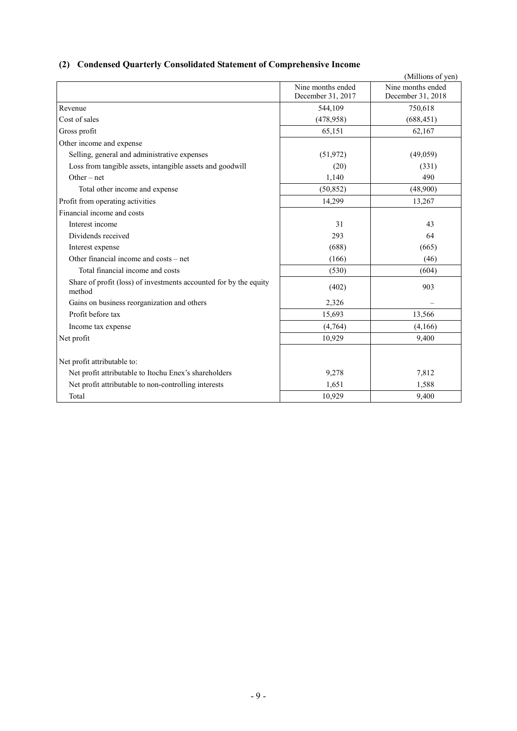# **(2) Condensed Quarterly Consolidated Statement of Comprehensive Income**

|                                                                             |                                        | (Millions of yen)                      |
|-----------------------------------------------------------------------------|----------------------------------------|----------------------------------------|
|                                                                             | Nine months ended<br>December 31, 2017 | Nine months ended<br>December 31, 2018 |
| Revenue                                                                     | 544,109                                | 750,618                                |
| Cost of sales                                                               | (478, 958)                             | (688, 451)                             |
| Gross profit                                                                | 65,151                                 | 62,167                                 |
| Other income and expense                                                    |                                        |                                        |
| Selling, general and administrative expenses                                | (51, 972)                              | (49,059)                               |
| Loss from tangible assets, intangible assets and goodwill                   | (20)                                   | (331)                                  |
| Other $-$ net                                                               | 1,140                                  | 490                                    |
| Total other income and expense                                              | (50, 852)                              | (48,900)                               |
| Profit from operating activities                                            | 14,299                                 | 13,267                                 |
| Financial income and costs                                                  |                                        |                                        |
| Interest income                                                             | 31                                     | 43                                     |
| Dividends received                                                          | 293                                    | 64                                     |
| Interest expense                                                            | (688)                                  | (665)                                  |
| Other financial income and costs – net                                      | (166)                                  | (46)                                   |
| Total financial income and costs                                            | (530)                                  | (604)                                  |
| Share of profit (loss) of investments accounted for by the equity<br>method | (402)                                  | 903                                    |
| Gains on business reorganization and others                                 | 2,326                                  |                                        |
| Profit before tax                                                           | 15,693                                 | 13,566                                 |
| Income tax expense                                                          | (4,764)                                | (4,166)                                |
| Net profit                                                                  | 10,929                                 | 9,400                                  |
| Net profit attributable to:                                                 |                                        |                                        |
| Net profit attributable to Itochu Enex's shareholders                       | 9,278                                  | 7,812                                  |
| Net profit attributable to non-controlling interests                        | 1,651                                  | 1,588                                  |
| Total                                                                       | 10,929                                 | 9,400                                  |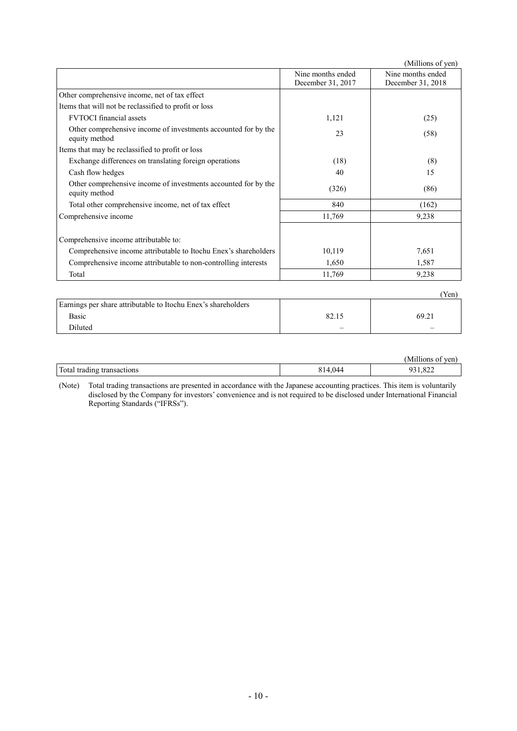|                                                                                 |                                        | (Millions of yen)                      |
|---------------------------------------------------------------------------------|----------------------------------------|----------------------------------------|
|                                                                                 | Nine months ended<br>December 31, 2017 | Nine months ended<br>December 31, 2018 |
| Other comprehensive income, net of tax effect                                   |                                        |                                        |
| Items that will not be reclassified to profit or loss                           |                                        |                                        |
| <b>FVTOCI</b> financial assets                                                  | 1,121                                  | (25)                                   |
| Other comprehensive income of investments accounted for by the<br>equity method | 23                                     | (58)                                   |
| Items that may be reclassified to profit or loss                                |                                        |                                        |
| Exchange differences on translating foreign operations                          | (18)                                   | (8)                                    |
| Cash flow hedges                                                                | 40                                     | 15                                     |
| Other comprehensive income of investments accounted for by the<br>equity method | (326)                                  | (86)                                   |
| Total other comprehensive income, net of tax effect                             | 840                                    | (162)                                  |
| Comprehensive income                                                            | 11,769                                 | 9,238                                  |
| Comprehensive income attributable to:                                           |                                        |                                        |
| Comprehensive income attributable to Itochu Enex's shareholders                 | 10,119                                 | 7,651                                  |
| Comprehensive income attributable to non-controlling interests                  | 1,650                                  | 1,587                                  |
| Total                                                                           | 11,769                                 | 9,238                                  |
|                                                                                 |                                        | (Yen)                                  |
| Earnings per share attributable to Itochu Enex's shareholders                   |                                        |                                        |

| $\sim$ $\sim$<br>Basic | 82.15                    | 69.21                           |
|------------------------|--------------------------|---------------------------------|
| <b>Diluted</b>         | $\overline{\phantom{0}}$ | $\hspace{0.1mm}-\hspace{0.1mm}$ |
|                        |                          |                                 |

|                                    |          | <br>$\eta$<br>NЛ<br>110n<br>vui. |
|------------------------------------|----------|----------------------------------|
| Total trading<br>transact<br>tions | 044<br>. | 022<br>רו<br>044                 |

(Note) Total trading transactions are presented in accordance with the Japanese accounting practices. This item is voluntarily disclosed by the Company for investors' convenience and is not required to be disclosed under International Financial Reporting Standards ("IFRSs").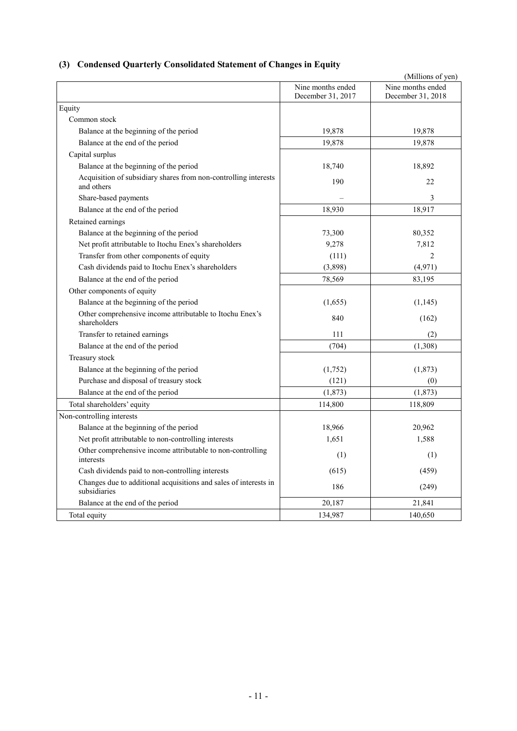# **(3) Condensed Quarterly Consolidated Statement of Changes in Equity**

|                                                                                  |                   | (Millions of yen) |
|----------------------------------------------------------------------------------|-------------------|-------------------|
|                                                                                  | Nine months ended | Nine months ended |
|                                                                                  | December 31, 2017 | December 31, 2018 |
| Equity                                                                           |                   |                   |
| Common stock                                                                     |                   |                   |
| Balance at the beginning of the period                                           | 19,878            | 19,878            |
| Balance at the end of the period                                                 | 19,878            | 19,878            |
| Capital surplus                                                                  |                   |                   |
| Balance at the beginning of the period                                           | 18,740            | 18,892            |
| Acquisition of subsidiary shares from non-controlling interests<br>and others    | 190               | 22                |
| Share-based payments                                                             |                   | 3                 |
| Balance at the end of the period                                                 | 18,930            | 18,917            |
| Retained earnings                                                                |                   |                   |
| Balance at the beginning of the period                                           | 73,300            | 80,352            |
| Net profit attributable to Itochu Enex's shareholders                            | 9,278             | 7,812             |
| Transfer from other components of equity                                         | (111)             | $\overline{2}$    |
| Cash dividends paid to Itochu Enex's shareholders                                | (3,898)           | (4,971)           |
| Balance at the end of the period                                                 | 78,569            | 83,195            |
| Other components of equity                                                       |                   |                   |
| Balance at the beginning of the period                                           | (1,655)           | (1,145)           |
| Other comprehensive income attributable to Itochu Enex's<br>shareholders         | 840               | (162)             |
| Transfer to retained earnings                                                    | 111               | (2)               |
| Balance at the end of the period                                                 | (704)             | (1,308)           |
| Treasury stock                                                                   |                   |                   |
| Balance at the beginning of the period                                           | (1,752)           | (1,873)           |
| Purchase and disposal of treasury stock                                          | (121)             | (0)               |
| Balance at the end of the period                                                 | (1,873)           | (1, 873)          |
| Total shareholders' equity                                                       | 114,800           | 118,809           |
| Non-controlling interests                                                        |                   |                   |
| Balance at the beginning of the period                                           | 18,966            | 20,962            |
| Net profit attributable to non-controlling interests                             | 1,651             | 1,588             |
| Other comprehensive income attributable to non-controlling<br>interests          | (1)               | (1)               |
| Cash dividends paid to non-controlling interests                                 | (615)             | (459)             |
| Changes due to additional acquisitions and sales of interests in<br>subsidiaries | 186               | (249)             |
| Balance at the end of the period                                                 | 20,187            | 21,841            |
| Total equity                                                                     | 134,987           | 140,650           |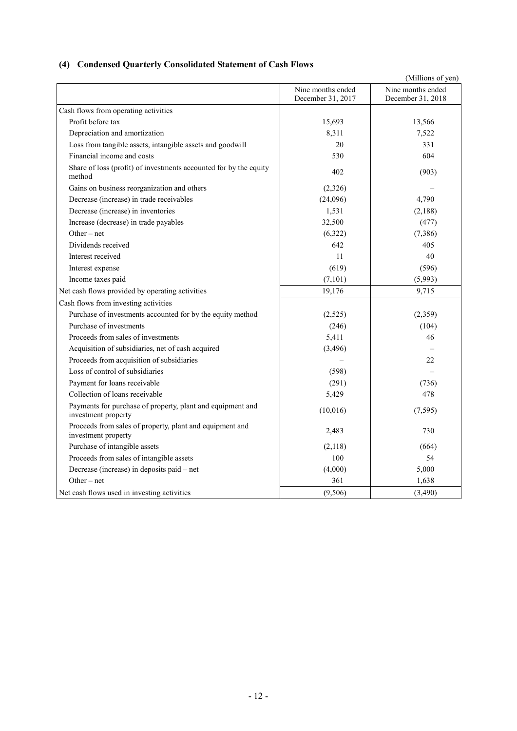# **(4) Condensed Quarterly Consolidated Statement of Cash Flows**

|                                                                                   |                                        | (Millions of yen)                      |
|-----------------------------------------------------------------------------------|----------------------------------------|----------------------------------------|
|                                                                                   | Nine months ended<br>December 31, 2017 | Nine months ended<br>December 31, 2018 |
| Cash flows from operating activities                                              |                                        |                                        |
| Profit before tax                                                                 | 15,693                                 | 13,566                                 |
| Depreciation and amortization                                                     | 8,311                                  | 7,522                                  |
| Loss from tangible assets, intangible assets and goodwill                         | 20                                     | 331                                    |
| Financial income and costs                                                        | 530                                    | 604                                    |
| Share of loss (profit) of investments accounted for by the equity<br>method       | 402                                    | (903)                                  |
| Gains on business reorganization and others                                       | (2,326)                                |                                        |
| Decrease (increase) in trade receivables                                          | (24,096)                               | 4,790                                  |
| Decrease (increase) in inventories                                                | 1,531                                  | (2,188)                                |
| Increase (decrease) in trade payables                                             | 32,500                                 | (477)                                  |
| Other – net                                                                       | (6,322)                                | (7,386)                                |
| Dividends received                                                                | 642                                    | 405                                    |
| Interest received                                                                 | 11                                     | 40                                     |
| Interest expense                                                                  | (619)                                  | (596)                                  |
| Income taxes paid                                                                 | (7,101)                                | (5,993)                                |
| Net cash flows provided by operating activities                                   | 19,176                                 | 9,715                                  |
| Cash flows from investing activities                                              |                                        |                                        |
| Purchase of investments accounted for by the equity method                        | (2,525)                                | (2,359)                                |
| Purchase of investments                                                           | (246)                                  | (104)                                  |
| Proceeds from sales of investments                                                | 5,411                                  | 46                                     |
| Acquisition of subsidiaries, net of cash acquired                                 | (3,496)                                |                                        |
| Proceeds from acquisition of subsidiaries                                         |                                        | 22                                     |
| Loss of control of subsidiaries                                                   | (598)                                  |                                        |
| Payment for loans receivable                                                      | (291)                                  | (736)                                  |
| Collection of loans receivable                                                    | 5,429                                  | 478                                    |
| Payments for purchase of property, plant and equipment and<br>investment property | (10,016)                               | (7, 595)                               |
| Proceeds from sales of property, plant and equipment and<br>investment property   | 2,483                                  | 730                                    |
| Purchase of intangible assets                                                     | (2,118)                                | (664)                                  |
| Proceeds from sales of intangible assets                                          | 100                                    | 54                                     |
| Decrease (increase) in deposits paid – net                                        | (4,000)                                | 5,000                                  |
| Other $-$ net                                                                     | 361                                    | 1,638                                  |
| Net cash flows used in investing activities                                       | (9,506)                                | (3,490)                                |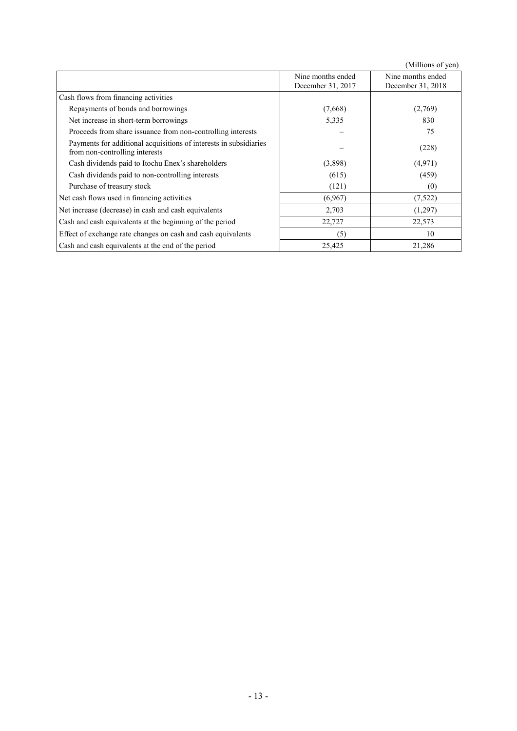(Millions of yen)

|                                                                                                     |                                        | $\mu$                                  |
|-----------------------------------------------------------------------------------------------------|----------------------------------------|----------------------------------------|
|                                                                                                     | Nine months ended<br>December 31, 2017 | Nine months ended<br>December 31, 2018 |
| Cash flows from financing activities                                                                |                                        |                                        |
| Repayments of bonds and borrowings                                                                  | (7,668)                                | (2,769)                                |
| Net increase in short-term borrowings                                                               | 5,335                                  | 830                                    |
| Proceeds from share issuance from non-controlling interests                                         |                                        | 75                                     |
| Payments for additional acquisitions of interests in subsidiaries<br>from non-controlling interests |                                        | (228)                                  |
| Cash dividends paid to Itochu Enex's shareholders                                                   | (3,898)                                | (4,971)                                |
| Cash dividends paid to non-controlling interests                                                    | (615)                                  | (459)                                  |
| Purchase of treasury stock                                                                          | (121)                                  | (0)                                    |
| Net cash flows used in financing activities                                                         | (6,967)                                | (7,522)                                |
| Net increase (decrease) in cash and cash equivalents                                                | 2,703                                  | (1,297)                                |
| Cash and cash equivalents at the beginning of the period                                            | 22,727                                 | 22,573                                 |
| Effect of exchange rate changes on cash and cash equivalents                                        | (5)                                    | 10                                     |
| Cash and cash equivalents at the end of the period                                                  | 25,425                                 | 21,286                                 |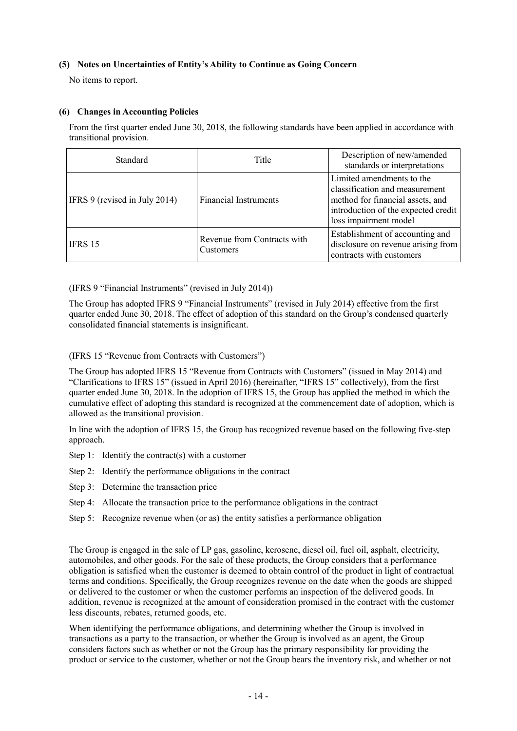## **(5) Notes on Uncertainties of Entity's Ability to Continue as Going Concern**

No items to report.

## **(6) Changes in Accounting Policies**

From the first quarter ended June 30, 2018, the following standards have been applied in accordance with transitional provision.

| Standard                      | Title                                    | Description of new/amended<br>standards or interpretations                                                                                                      |
|-------------------------------|------------------------------------------|-----------------------------------------------------------------------------------------------------------------------------------------------------------------|
| IFRS 9 (revised in July 2014) | <b>Financial Instruments</b>             | Limited amendments to the<br>classification and measurement<br>method for financial assets, and<br>introduction of the expected credit<br>loss impairment model |
| IFRS 15                       | Revenue from Contracts with<br>Customers | Establishment of accounting and<br>disclosure on revenue arising from<br>contracts with customers                                                               |

(IFRS 9 "Financial Instruments" (revised in July 2014))

The Group has adopted IFRS 9 "Financial Instruments" (revised in July 2014) effective from the first quarter ended June 30, 2018. The effect of adoption of this standard on the Group's condensed quarterly consolidated financial statements is insignificant.

(IFRS 15 "Revenue from Contracts with Customers")

The Group has adopted IFRS 15 "Revenue from Contracts with Customers" (issued in May 2014) and "Clarifications to IFRS 15" (issued in April 2016) (hereinafter, "IFRS 15" collectively), from the first quarter ended June 30, 2018. In the adoption of IFRS 15, the Group has applied the method in which the cumulative effect of adopting this standard is recognized at the commencement date of adoption, which is allowed as the transitional provision.

In line with the adoption of IFRS 15, the Group has recognized revenue based on the following five-step approach.

- Step 1: Identify the contract(s) with a customer
- Step 2: Identify the performance obligations in the contract
- Step 3: Determine the transaction price
- Step 4: Allocate the transaction price to the performance obligations in the contract
- Step 5: Recognize revenue when (or as) the entity satisfies a performance obligation

The Group is engaged in the sale of LP gas, gasoline, kerosene, diesel oil, fuel oil, asphalt, electricity, automobiles, and other goods. For the sale of these products, the Group considers that a performance obligation is satisfied when the customer is deemed to obtain control of the product in light of contractual terms and conditions. Specifically, the Group recognizes revenue on the date when the goods are shipped or delivered to the customer or when the customer performs an inspection of the delivered goods. In addition, revenue is recognized at the amount of consideration promised in the contract with the customer less discounts, rebates, returned goods, etc.

When identifying the performance obligations, and determining whether the Group is involved in transactions as a party to the transaction, or whether the Group is involved as an agent, the Group considers factors such as whether or not the Group has the primary responsibility for providing the product or service to the customer, whether or not the Group bears the inventory risk, and whether or not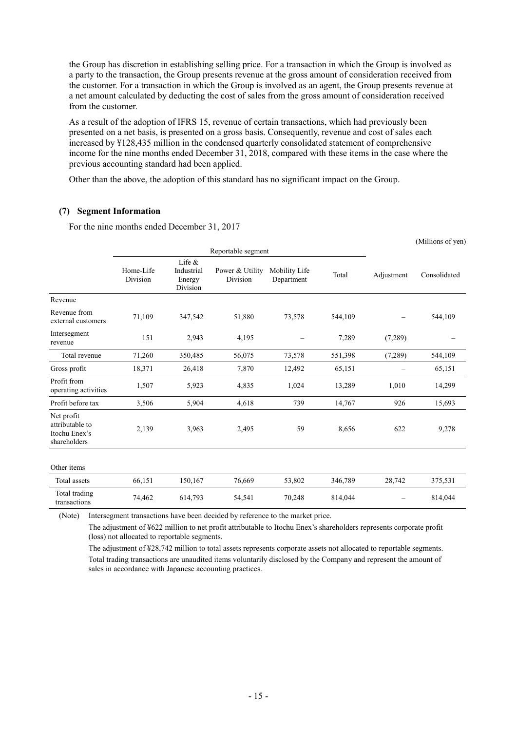the Group has discretion in establishing selling price. For a transaction in which the Group is involved as a party to the transaction, the Group presents revenue at the gross amount of consideration received from the customer. For a transaction in which the Group is involved as an agent, the Group presents revenue at a net amount calculated by deducting the cost of sales from the gross amount of consideration received from the customer.

As a result of the adoption of IFRS 15, revenue of certain transactions, which had previously been presented on a net basis, is presented on a gross basis. Consequently, revenue and cost of sales each increased by ¥128,435 million in the condensed quarterly consolidated statement of comprehensive income for the nine months ended December 31, 2018, compared with these items in the case where the previous accounting standard had been applied.

Other than the above, the adoption of this standard has no significant impact on the Group.

# **(7) Segment Information**

For the nine months ended December 31, 2017

|                                                                |                       |                                               |                             |                             |         |            | (Millions of yen) |
|----------------------------------------------------------------|-----------------------|-----------------------------------------------|-----------------------------|-----------------------------|---------|------------|-------------------|
|                                                                |                       |                                               | Reportable segment          |                             |         |            |                   |
|                                                                | Home-Life<br>Division | Life $\&$<br>Industrial<br>Energy<br>Division | Power & Utility<br>Division | Mobility Life<br>Department | Total   | Adjustment | Consolidated      |
| Revenue                                                        |                       |                                               |                             |                             |         |            |                   |
| Revenue from<br>external customers                             | 71,109                | 347,542                                       | 51,880                      | 73,578                      | 544,109 |            | 544,109           |
| Intersegment<br>revenue                                        | 151                   | 2,943                                         | 4,195                       |                             | 7,289   | (7,289)    |                   |
| Total revenue                                                  | 71,260                | 350,485                                       | 56,075                      | 73,578                      | 551,398 | (7,289)    | 544,109           |
| Gross profit                                                   | 18,371                | 26,418                                        | 7,870                       | 12,492                      | 65,151  |            | 65,151            |
| Profit from<br>operating activities                            | 1,507                 | 5,923                                         | 4,835                       | 1,024                       | 13,289  | 1,010      | 14,299            |
| Profit before tax                                              | 3,506                 | 5,904                                         | 4,618                       | 739                         | 14,767  | 926        | 15,693            |
| Net profit<br>attributable to<br>Itochu Enex's<br>shareholders | 2,139                 | 3,963                                         | 2,495                       | 59                          | 8,656   | 622        | 9,278             |
| Other items                                                    |                       |                                               |                             |                             |         |            |                   |
| Total assets                                                   | 66,151                | 150,167                                       | 76,669                      | 53,802                      | 346,789 | 28,742     | 375,531           |
| Total trading<br>transactions                                  | 74,462                | 614,793                                       | 54,541                      | 70,248                      | 814,044 |            | 814,044           |

(Note) Intersegment transactions have been decided by reference to the market price.

The adjustment of ¥622 million to net profit attributable to Itochu Enex's shareholders represents corporate profit (loss) not allocated to reportable segments.

The adjustment of ¥28,742 million to total assets represents corporate assets not allocated to reportable segments. Total trading transactions are unaudited items voluntarily disclosed by the Company and represent the amount of sales in accordance with Japanese accounting practices.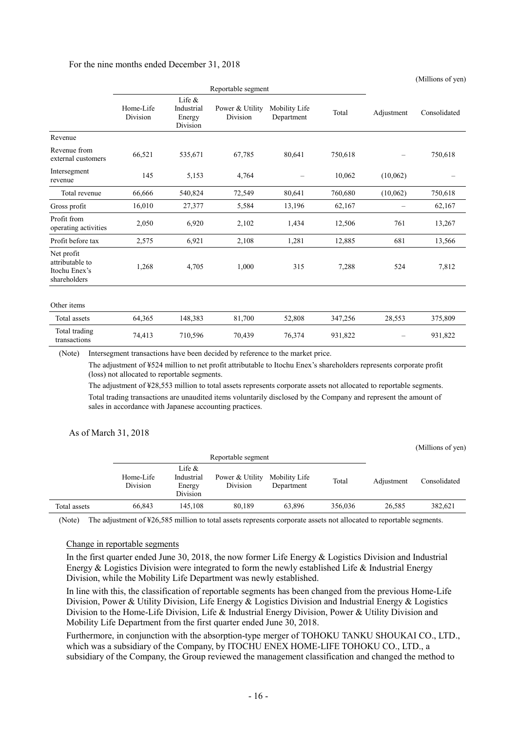#### For the nine months ended December 31, 2018

|                                                                | Reportable segment    |                                               |                             |                             |         |                   |              |
|----------------------------------------------------------------|-----------------------|-----------------------------------------------|-----------------------------|-----------------------------|---------|-------------------|--------------|
|                                                                | Home-Life<br>Division | Life $\&$<br>Industrial<br>Energy<br>Division | Power & Utility<br>Division | Mobility Life<br>Department | Total   | Adjustment        | Consolidated |
| Revenue                                                        |                       |                                               |                             |                             |         |                   |              |
| Revenue from<br>external customers                             | 66,521                | 535,671                                       | 67,785                      | 80,641                      | 750,618 | $\qquad \qquad -$ | 750,618      |
| Intersegment<br>revenue                                        | 145                   | 5,153                                         | 4,764                       |                             | 10,062  | (10,062)          |              |
| Total revenue                                                  | 66,666                | 540,824                                       | 72,549                      | 80,641                      | 760,680 | (10,062)          | 750,618      |
| Gross profit                                                   | 16,010                | 27,377                                        | 5,584                       | 13,196                      | 62,167  | $\qquad \qquad -$ | 62,167       |
| Profit from<br>operating activities                            | 2,050                 | 6,920                                         | 2,102                       | 1,434                       | 12,506  | 761               | 13,267       |
| Profit before tax                                              | 2,575                 | 6,921                                         | 2,108                       | 1,281                       | 12,885  | 681               | 13,566       |
| Net profit<br>attributable to<br>Itochu Enex's<br>shareholders | 1,268                 | 4,705                                         | 1,000                       | 315                         | 7,288   | 524               | 7,812        |
| Other items                                                    |                       |                                               |                             |                             |         |                   |              |
| Total assets                                                   | 64,365                | 148,383                                       | 81,700                      | 52,808                      | 347,256 | 28,553            | 375,809      |
| Total trading<br>transactions                                  | 74,413                | 710,596                                       | 70,439                      | 76,374                      | 931,822 |                   | 931,822      |

(Millions of yen)

(Note) Intersegment transactions have been decided by reference to the market price.

The adjustment of ¥524 million to net profit attributable to Itochu Enex's shareholders represents corporate profit (loss) not allocated to reportable segments.

The adjustment of ¥28,553 million to total assets represents corporate assets not allocated to reportable segments. Total trading transactions are unaudited items voluntarily disclosed by the Company and represent the amount of sales in accordance with Japanese accounting practices.

#### As of March 31, 2018

|              |                       |                                              |                             |                             |         |            | (Millions of yen) |
|--------------|-----------------------|----------------------------------------------|-----------------------------|-----------------------------|---------|------------|-------------------|
|              |                       |                                              | Reportable segment          |                             |         |            |                   |
|              | Home-Life<br>Division | Life $&$<br>Industrial<br>Energy<br>Division | Power & Utility<br>Division | Mobility Life<br>Department | Total   | Adjustment | Consolidated      |
| Total assets | 66,843                | 145.108                                      | 80,189                      | 63,896                      | 356,036 | 26,585     | 382,621           |

(Note) The adjustment of ¥26,585 million to total assets represents corporate assets not allocated to reportable segments.

#### Change in reportable segments

In the first quarter ended June 30, 2018, the now former Life Energy & Logistics Division and Industrial Energy & Logistics Division were integrated to form the newly established Life & Industrial Energy Division, while the Mobility Life Department was newly established.

In line with this, the classification of reportable segments has been changed from the previous Home-Life Division, Power & Utility Division, Life Energy & Logistics Division and Industrial Energy & Logistics Division to the Home-Life Division, Life & Industrial Energy Division, Power & Utility Division and Mobility Life Department from the first quarter ended June 30, 2018.

Furthermore, in conjunction with the absorption-type merger of TOHOKU TANKU SHOUKAI CO., LTD., which was a subsidiary of the Company, by ITOCHU ENEX HOME-LIFE TOHOKU CO., LTD., a subsidiary of the Company, the Group reviewed the management classification and changed the method to